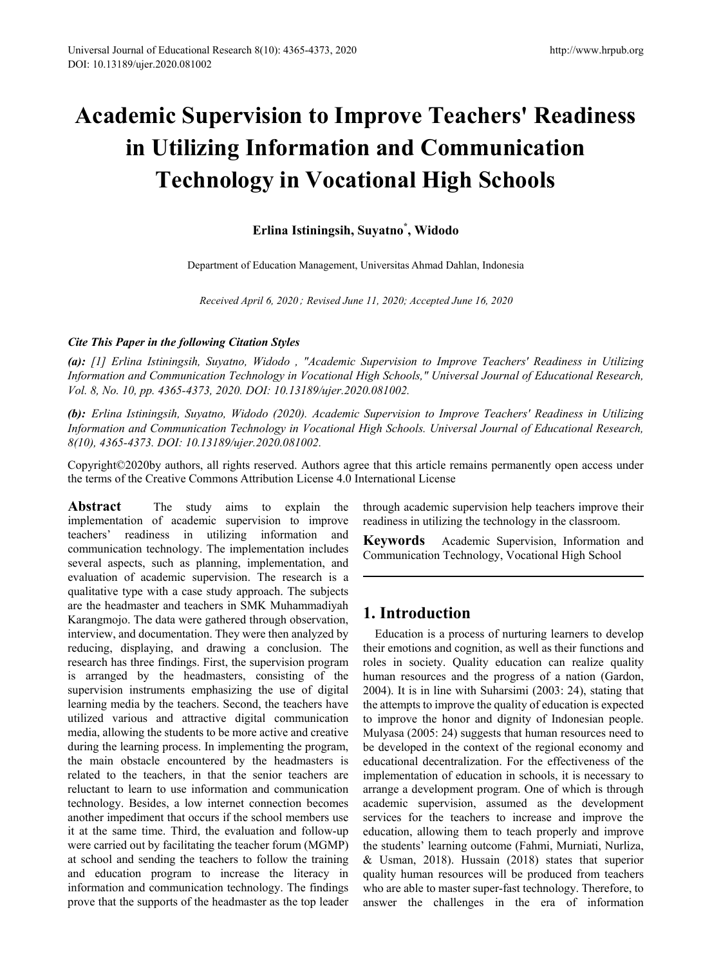# **Academic Supervision to Improve Teachers' Readiness in Utilizing Information and Communication Technology in Vocational High Schools**

## **Erlina Istiningsih, Suyatno\* , Widodo**

Department of Education Management, Universitas Ahmad Dahlan, Indonesia

*Received April 6, 2020*; *Revised June 11, 2020; Accepted June 16, 2020* 

#### *Cite This Paper in the following Citation Styles*

*(a): [1] Erlina Istiningsih, Suyatno, Widodo , "Academic Supervision to Improve Teachers' Readiness in Utilizing Information and Communication Technology in Vocational High Schools," Universal Journal of Educational Research, Vol. 8, No. 10, pp. 4365-4373, 2020. DOI: 10.13189/ujer.2020.081002.* 

*(b): Erlina Istiningsih, Suyatno, Widodo (2020). Academic Supervision to Improve Teachers' Readiness in Utilizing Information and Communication Technology in Vocational High Schools. Universal Journal of Educational Research, 8(10), 4365-4373. DOI: 10.13189/ujer.2020.081002.* 

Copyright©2020by authors, all rights reserved. Authors agree that this article remains permanently open access under the terms of the Creative Commons Attribution License 4.0 International License

**Abstract** The study aims to explain the implementation of academic supervision to improve teachers' readiness in utilizing information and communication technology. The implementation includes several aspects, such as planning, implementation, and evaluation of academic supervision. The research is a qualitative type with a case study approach. The subjects are the headmaster and teachers in SMK Muhammadiyah Karangmojo. The data were gathered through observation, interview, and documentation. They were then analyzed by reducing, displaying, and drawing a conclusion. The research has three findings. First, the supervision program is arranged by the headmasters, consisting of the supervision instruments emphasizing the use of digital learning media by the teachers. Second, the teachers have utilized various and attractive digital communication media, allowing the students to be more active and creative during the learning process. In implementing the program, the main obstacle encountered by the headmasters is related to the teachers, in that the senior teachers are reluctant to learn to use information and communication technology. Besides, a low internet connection becomes another impediment that occurs if the school members use it at the same time. Third, the evaluation and follow-up were carried out by facilitating the teacher forum (MGMP) at school and sending the teachers to follow the training and education program to increase the literacy in information and communication technology. The findings prove that the supports of the headmaster as the top leader

through academic supervision help teachers improve their readiness in utilizing the technology in the classroom.

**Keywords** Academic Supervision, Information and Communication Technology, Vocational High School

# **1. Introduction**

Education is a process of nurturing learners to develop their emotions and cognition, as well as their functions and roles in society. Quality education can realize quality human resources and the progress of a nation (Gardon, 2004). It is in line with Suharsimi (2003: 24), stating that the attempts to improve the quality of education is expected to improve the honor and dignity of Indonesian people. Mulyasa (2005: 24) suggests that human resources need to be developed in the context of the regional economy and educational decentralization. For the effectiveness of the implementation of education in schools, it is necessary to arrange a development program. One of which is through academic supervision, assumed as the development services for the teachers to increase and improve the education, allowing them to teach properly and improve the students' learning outcome (Fahmi, Murniati, Nurliza, & Usman, 2018). Hussain (2018) states that superior quality human resources will be produced from teachers who are able to master super-fast technology. Therefore, to answer the challenges in the era of information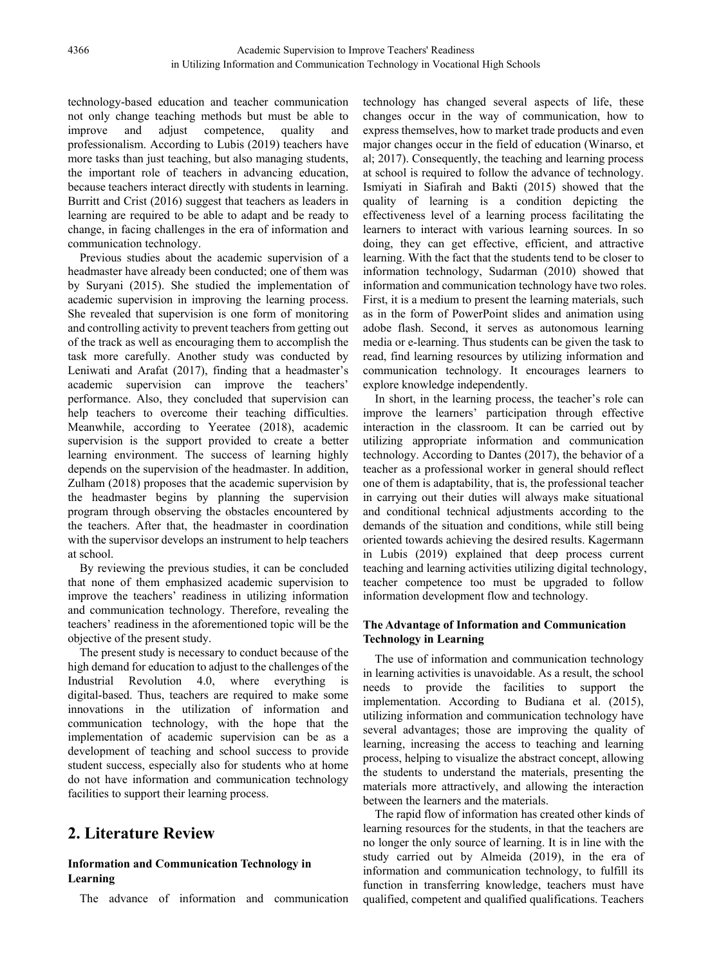technology-based education and teacher communication not only change teaching methods but must be able to improve and adjust competence, quality and professionalism. According to Lubis (2019) teachers have more tasks than just teaching, but also managing students, the important role of teachers in advancing education, because teachers interact directly with students in learning. Burritt and Crist (2016) suggest that teachers as leaders in learning are required to be able to adapt and be ready to change, in facing challenges in the era of information and communication technology.

Previous studies about the academic supervision of a headmaster have already been conducted; one of them was by Suryani (2015). She studied the implementation of academic supervision in improving the learning process. She revealed that supervision is one form of monitoring and controlling activity to prevent teachers from getting out of the track as well as encouraging them to accomplish the task more carefully. Another study was conducted by Leniwati and Arafat (2017), finding that a headmaster's academic supervision can improve the teachers' performance. Also, they concluded that supervision can help teachers to overcome their teaching difficulties. Meanwhile, according to Yeeratee (2018), academic supervision is the support provided to create a better learning environment. The success of learning highly depends on the supervision of the headmaster. In addition, Zulham (2018) proposes that the academic supervision by the headmaster begins by planning the supervision program through observing the obstacles encountered by the teachers. After that, the headmaster in coordination with the supervisor develops an instrument to help teachers at school.

By reviewing the previous studies, it can be concluded that none of them emphasized academic supervision to improve the teachers' readiness in utilizing information and communication technology. Therefore, revealing the teachers' readiness in the aforementioned topic will be the objective of the present study.

The present study is necessary to conduct because of the high demand for education to adjust to the challenges of the Industrial Revolution 4.0, where everything is digital-based. Thus, teachers are required to make some innovations in the utilization of information and communication technology, with the hope that the implementation of academic supervision can be as a development of teaching and school success to provide student success, especially also for students who at home do not have information and communication technology facilities to support their learning process.

# **2. Literature Review**

#### **Information and Communication Technology in Learning**

The advance of information and communication

technology has changed several aspects of life, these changes occur in the way of communication, how to express themselves, how to market trade products and even major changes occur in the field of education (Winarso, et al; 2017). Consequently, the teaching and learning process at school is required to follow the advance of technology. Ismiyati in Siafirah and Bakti (2015) showed that the quality of learning is a condition depicting the effectiveness level of a learning process facilitating the learners to interact with various learning sources. In so doing, they can get effective, efficient, and attractive learning. With the fact that the students tend to be closer to information technology, Sudarman (2010) showed that information and communication technology have two roles. First, it is a medium to present the learning materials, such as in the form of PowerPoint slides and animation using adobe flash. Second, it serves as autonomous learning media or e-learning. Thus students can be given the task to read, find learning resources by utilizing information and communication technology. It encourages learners to explore knowledge independently.

In short, in the learning process, the teacher's role can improve the learners' participation through effective interaction in the classroom. It can be carried out by utilizing appropriate information and communication technology. According to Dantes (2017), the behavior of a teacher as a professional worker in general should reflect one of them is adaptability, that is, the professional teacher in carrying out their duties will always make situational and conditional technical adjustments according to the demands of the situation and conditions, while still being oriented towards achieving the desired results. Kagermann in Lubis (2019) explained that deep process current teaching and learning activities utilizing digital technology, teacher competence too must be upgraded to follow information development flow and technology.

#### **The Advantage of Information and Communication Technology in Learning**

The use of information and communication technology in learning activities is unavoidable. As a result, the school needs to provide the facilities to support the implementation. According to Budiana et al. (2015), utilizing information and communication technology have several advantages; those are improving the quality of learning, increasing the access to teaching and learning process, helping to visualize the abstract concept, allowing the students to understand the materials, presenting the materials more attractively, and allowing the interaction between the learners and the materials.

The rapid flow of information has created other kinds of learning resources for the students, in that the teachers are no longer the only source of learning. It is in line with the study carried out by Almeida (2019), in the era of information and communication technology, to fulfill its function in transferring knowledge, teachers must have qualified, competent and qualified qualifications. Teachers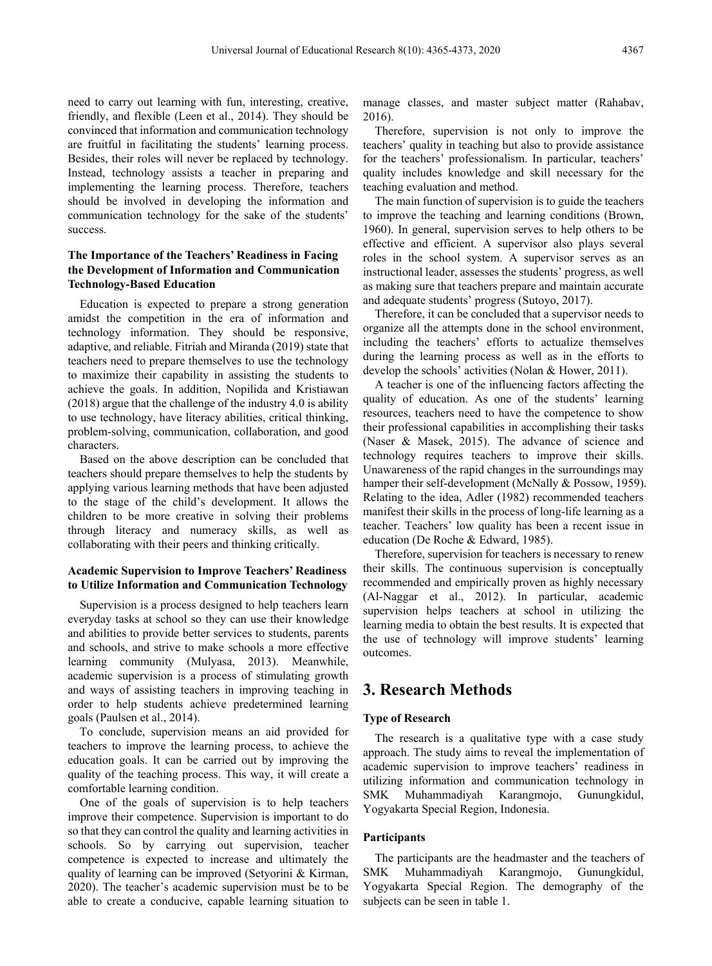need to carry out learning with fun, interesting, creative, friendly, and flexible (Leen et al., 2014). They should be convinced that information and communication technology are fruitful in facilitating the students' learning process. Besides, their roles will never be replaced by technology. Instead, technology assists a teacher in preparing and implementing the learning process. Therefore, teachers should be involved in developing the information and communication technology for the sake of the students' success.

#### **The Importance of the Teachers' Readiness in Facing the Development of Information and Communication Technology-Based Education**

Education is expected to prepare a strong generation amidst the competition in the era of information and technology information. They should be responsive, adaptive, and reliable. Fitriah and Miranda (2019) state that teachers need to prepare themselves to use the technology to maximize their capability in assisting the students to achieve the goals. In addition, Nopilida and Kristiawan (2018) argue that the challenge of the industry 4.0 is ability to use technology, have literacy abilities, critical thinking, problem-solving, communication, collaboration, and good characters.

Based on the above description can be concluded that teachers should prepare themselves to help the students by applying various learning methods that have been adjusted to the stage of the child's development. It allows the children to be more creative in solving their problems through literacy and numeracy skills, as well as collaborating with their peers and thinking critically.

#### **Academic Supervision to Improve Teachers' Readiness to Utilize Information and Communication Technology**

Supervision is a process designed to help teachers learn everyday tasks at school so they can use their knowledge and abilities to provide better services to students, parents and schools, and strive to make schools a more effective learning community (Mulyasa, 2013). Meanwhile, academic supervision is a process of stimulating growth and ways of assisting teachers in improving teaching in order to help students achieve predetermined learning goals (Paulsen et al., 2014).

To conclude, supervision means an aid provided for teachers to improve the learning process, to achieve the education goals. It can be carried out by improving the quality of the teaching process. This way, it will create a comfortable learning condition.

One of the goals of supervision is to help teachers improve their competence. Supervision is important to do so that they can control the quality and learning activities in schools. So by carrying out supervision, teacher competence is expected to increase and ultimately the quality of learning can be improved (Setyorini & Kirman, 2020). The teacher's academic supervision must be to be able to create a conducive, capable learning situation to

manage classes, and master subject matter (Rahabav, 2016).

Therefore, supervision is not only to improve the teachers' quality in teaching but also to provide assistance for the teachers' professionalism. In particular, teachers' quality includes knowledge and skill necessary for the teaching evaluation and method.

The main function of supervision is to guide the teachers to improve the teaching and learning conditions (Brown, 1960). In general, supervision serves to help others to be effective and efficient. A supervisor also plays several roles in the school system. A supervisor serves as an instructional leader, assesses the students' progress, as well as making sure that teachers prepare and maintain accurate and adequate students' progress (Sutoyo, 2017).

Therefore, it can be concluded that a supervisor needs to organize all the attempts done in the school environment, including the teachers' efforts to actualize themselves during the learning process as well as in the efforts to develop the schools' activities (Nolan & Hower, 2011).

A teacher is one of the influencing factors affecting the quality of education. As one of the students' learning resources, teachers need to have the competence to show their professional capabilities in accomplishing their tasks (Naser & Masek, 2015). The advance of science and technology requires teachers to improve their skills. Unawareness of the rapid changes in the surroundings may hamper their self-development (McNally & Possow, 1959). Relating to the idea, Adler (1982) recommended teachers manifest their skills in the process of long-life learning as a teacher. Teachers' low quality has been a recent issue in education (De Roche & Edward, 1985).

Therefore, supervision for teachers is necessary to renew their skills. The continuous supervision is conceptually recommended and empirically proven as highly necessary (Al-Naggar et al., 2012). In particular, academic supervision helps teachers at school in utilizing the learning media to obtain the best results. It is expected that the use of technology will improve students' learning outcomes.

## **3. Research Methods**

#### **Type of Research**

The research is a qualitative type with a case study approach. The study aims to reveal the implementation of academic supervision to improve teachers' readiness in utilizing information and communication technology in SMK Muhammadiyah Karangmojo, Gunungkidul, Yogyakarta Special Region, Indonesia.

#### **Participants**

The participants are the headmaster and the teachers of SMK Muhammadiyah Karangmojo, Gunungkidul, Yogyakarta Special Region. The demography of the subjects can be seen in table 1.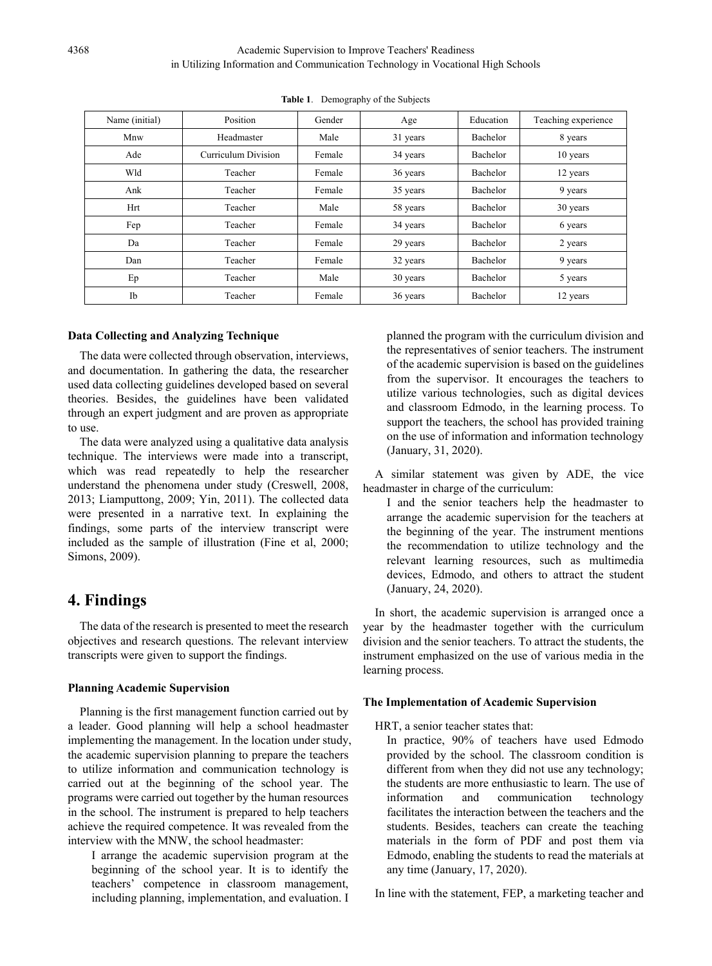| Name (initial) | Position            | Gender | Age      | Education | Teaching experience |
|----------------|---------------------|--------|----------|-----------|---------------------|
| Mnw            | Headmaster          | Male   | 31 years | Bachelor  | 8 years             |
| Ade            | Curriculum Division | Female | 34 years | Bachelor  | 10 years            |
| Wld            | Teacher             | Female | 36 years | Bachelor  | 12 years            |
| Ank            | Teacher             | Female | 35 years | Bachelor  | 9 years             |
| Hrt            | Teacher             | Male   | 58 years | Bachelor  | 30 years            |
| Fep            | Teacher             | Female | 34 years | Bachelor  | 6 years             |
| Da             | Teacher             | Female | 29 years | Bachelor  | 2 years             |
| Dan            | Teacher             | Female | 32 years | Bachelor  | 9 years             |
| Ep             | Teacher             | Male   | 30 years | Bachelor  | 5 years             |
| Ib             | Teacher             | Female | 36 years | Bachelor  | 12 years            |

**Table 1**. Demography of the Subjects

#### **Data Collecting and Analyzing Technique**

The data were collected through observation, interviews, and documentation. In gathering the data, the researcher used data collecting guidelines developed based on several theories. Besides, the guidelines have been validated through an expert judgment and are proven as appropriate to use.

The data were analyzed using a qualitative data analysis technique. The interviews were made into a transcript, which was read repeatedly to help the researcher understand the phenomena under study (Creswell, 2008, 2013; Liamputtong, 2009; Yin, 2011). The collected data were presented in a narrative text. In explaining the findings, some parts of the interview transcript were included as the sample of illustration (Fine et al, 2000; Simons, 2009).

# **4. Findings**

The data of the research is presented to meet the research objectives and research questions. The relevant interview transcripts were given to support the findings.

#### **Planning Academic Supervision**

Planning is the first management function carried out by a leader. Good planning will help a school headmaster implementing the management. In the location under study, the academic supervision planning to prepare the teachers to utilize information and communication technology is carried out at the beginning of the school year. The programs were carried out together by the human resources in the school. The instrument is prepared to help teachers achieve the required competence. It was revealed from the interview with the MNW, the school headmaster:

I arrange the academic supervision program at the beginning of the school year. It is to identify the teachers' competence in classroom management, including planning, implementation, and evaluation. I planned the program with the curriculum division and the representatives of senior teachers. The instrument of the academic supervision is based on the guidelines from the supervisor. It encourages the teachers to utilize various technologies, such as digital devices and classroom Edmodo, in the learning process. To support the teachers, the school has provided training on the use of information and information technology (January, 31, 2020).

A similar statement was given by ADE, the vice headmaster in charge of the curriculum:

I and the senior teachers help the headmaster to arrange the academic supervision for the teachers at the beginning of the year. The instrument mentions the recommendation to utilize technology and the relevant learning resources, such as multimedia devices, Edmodo, and others to attract the student (January, 24, 2020).

In short, the academic supervision is arranged once a year by the headmaster together with the curriculum division and the senior teachers. To attract the students, the instrument emphasized on the use of various media in the learning process.

#### **The Implementation of Academic Supervision**

HRT, a senior teacher states that:

In practice, 90% of teachers have used Edmodo provided by the school. The classroom condition is different from when they did not use any technology; the students are more enthusiastic to learn. The use of information and communication technology facilitates the interaction between the teachers and the students. Besides, teachers can create the teaching materials in the form of PDF and post them via Edmodo, enabling the students to read the materials at any time (January, 17, 2020).

In line with the statement, FEP, a marketing teacher and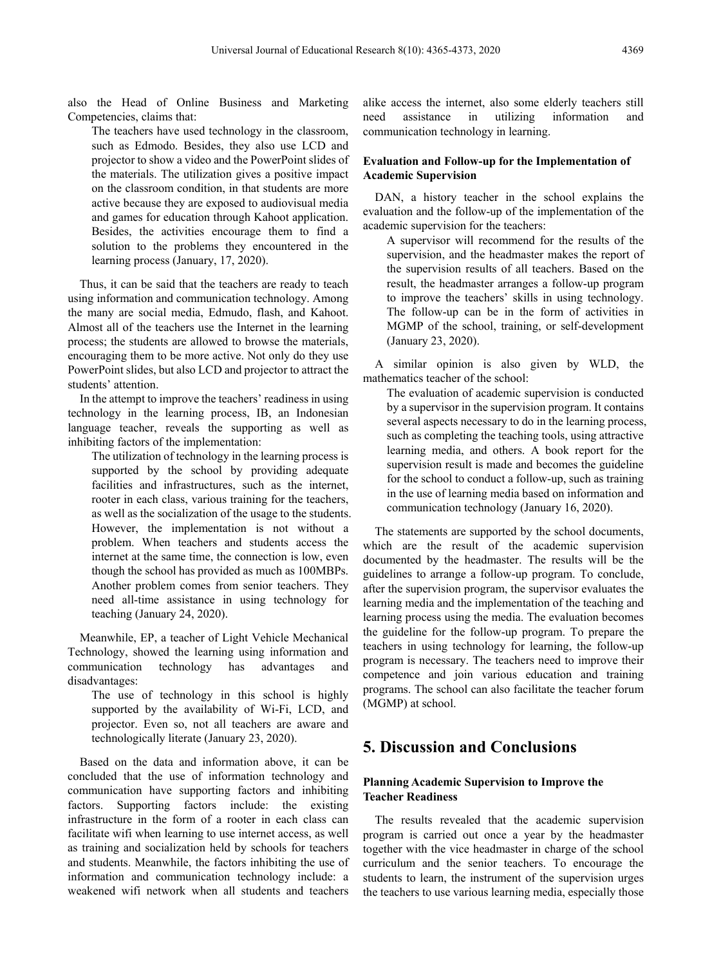also the Head of Online Business and Marketing Competencies, claims that:

The teachers have used technology in the classroom, such as Edmodo. Besides, they also use LCD and projector to show a video and the PowerPoint slides of the materials. The utilization gives a positive impact on the classroom condition, in that students are more active because they are exposed to audiovisual media and games for education through Kahoot application. Besides, the activities encourage them to find a solution to the problems they encountered in the learning process (January, 17, 2020).

Thus, it can be said that the teachers are ready to teach using information and communication technology. Among the many are social media, Edmudo, flash, and Kahoot. Almost all of the teachers use the Internet in the learning process; the students are allowed to browse the materials, encouraging them to be more active. Not only do they use PowerPoint slides, but also LCD and projector to attract the students' attention.

In the attempt to improve the teachers' readiness in using technology in the learning process, IB, an Indonesian language teacher, reveals the supporting as well as inhibiting factors of the implementation:

The utilization of technology in the learning process is supported by the school by providing adequate facilities and infrastructures, such as the internet, rooter in each class, various training for the teachers, as well as the socialization of the usage to the students. However, the implementation is not without a problem. When teachers and students access the internet at the same time, the connection is low, even though the school has provided as much as 100MBPs. Another problem comes from senior teachers. They need all-time assistance in using technology for teaching (January 24, 2020).

Meanwhile, EP, a teacher of Light Vehicle Mechanical Technology, showed the learning using information and communication technology has advantages and disadvantages:

The use of technology in this school is highly supported by the availability of Wi-Fi, LCD, and projector. Even so, not all teachers are aware and technologically literate (January 23, 2020).

Based on the data and information above, it can be concluded that the use of information technology and communication have supporting factors and inhibiting factors. Supporting factors include: the existing infrastructure in the form of a rooter in each class can facilitate wifi when learning to use internet access, as well as training and socialization held by schools for teachers and students. Meanwhile, the factors inhibiting the use of information and communication technology include: a weakened wifi network when all students and teachers alike access the internet, also some elderly teachers still need assistance in utilizing information and communication technology in learning.

#### **Evaluation and Follow-up for the Implementation of Academic Supervision**

DAN, a history teacher in the school explains the evaluation and the follow-up of the implementation of the academic supervision for the teachers:

A supervisor will recommend for the results of the supervision, and the headmaster makes the report of the supervision results of all teachers. Based on the result, the headmaster arranges a follow-up program to improve the teachers' skills in using technology. The follow-up can be in the form of activities in MGMP of the school, training, or self-development (January 23, 2020).

A similar opinion is also given by WLD, the mathematics teacher of the school:

The evaluation of academic supervision is conducted by a supervisor in the supervision program. It contains several aspects necessary to do in the learning process, such as completing the teaching tools, using attractive learning media, and others. A book report for the supervision result is made and becomes the guideline for the school to conduct a follow-up, such as training in the use of learning media based on information and communication technology (January 16, 2020).

The statements are supported by the school documents, which are the result of the academic supervision documented by the headmaster. The results will be the guidelines to arrange a follow-up program. To conclude, after the supervision program, the supervisor evaluates the learning media and the implementation of the teaching and learning process using the media. The evaluation becomes the guideline for the follow-up program. To prepare the teachers in using technology for learning, the follow-up program is necessary. The teachers need to improve their competence and join various education and training programs. The school can also facilitate the teacher forum (MGMP) at school.

### **5. Discussion and Conclusions**

#### **Planning Academic Supervision to Improve the Teacher Readiness**

The results revealed that the academic supervision program is carried out once a year by the headmaster together with the vice headmaster in charge of the school curriculum and the senior teachers. To encourage the students to learn, the instrument of the supervision urges the teachers to use various learning media, especially those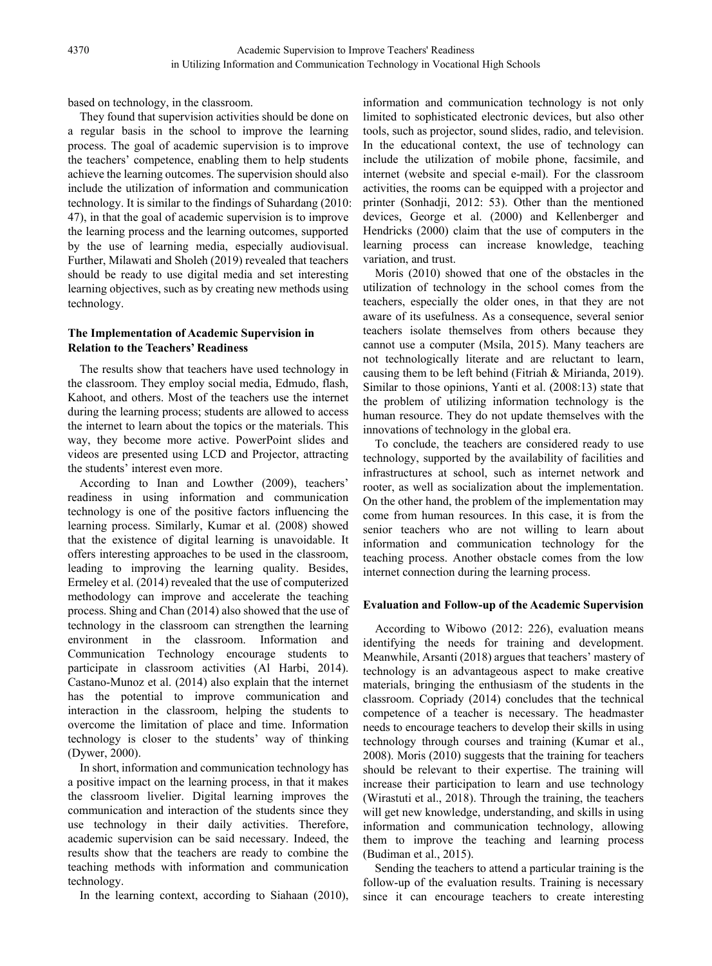based on technology, in the classroom.

They found that supervision activities should be done on a regular basis in the school to improve the learning process. The goal of academic supervision is to improve the teachers' competence, enabling them to help students achieve the learning outcomes. The supervision should also include the utilization of information and communication technology. It is similar to the findings of Suhardang (2010: 47), in that the goal of academic supervision is to improve the learning process and the learning outcomes, supported by the use of learning media, especially audiovisual. Further, Milawati and Sholeh (2019) revealed that teachers should be ready to use digital media and set interesting learning objectives, such as by creating new methods using technology.

#### **The Implementation of Academic Supervision in Relation to the Teachers' Readiness**

The results show that teachers have used technology in the classroom. They employ social media, Edmudo, flash, Kahoot, and others. Most of the teachers use the internet during the learning process; students are allowed to access the internet to learn about the topics or the materials. This way, they become more active. PowerPoint slides and videos are presented using LCD and Projector, attracting the students' interest even more.

According to Inan and Lowther (2009), teachers' readiness in using information and communication technology is one of the positive factors influencing the learning process. Similarly, Kumar et al. (2008) showed that the existence of digital learning is unavoidable. It offers interesting approaches to be used in the classroom, leading to improving the learning quality. Besides, Ermeley et al. (2014) revealed that the use of computerized methodology can improve and accelerate the teaching process. Shing and Chan (2014) also showed that the use of technology in the classroom can strengthen the learning environment in the classroom. Information and Communication Technology encourage students to participate in classroom activities (Al Harbi, 2014). Castano-Munoz et al. (2014) also explain that the internet has the potential to improve communication and interaction in the classroom, helping the students to overcome the limitation of place and time. Information technology is closer to the students' way of thinking (Dywer, 2000).

In short, information and communication technology has a positive impact on the learning process, in that it makes the classroom livelier. Digital learning improves the communication and interaction of the students since they use technology in their daily activities. Therefore, academic supervision can be said necessary. Indeed, the results show that the teachers are ready to combine the teaching methods with information and communication technology.

In the learning context, according to Siahaan (2010),

information and communication technology is not only limited to sophisticated electronic devices, but also other tools, such as projector, sound slides, radio, and television. In the educational context, the use of technology can include the utilization of mobile phone, facsimile, and internet (website and special e-mail). For the classroom activities, the rooms can be equipped with a projector and printer (Sonhadji, 2012: 53). Other than the mentioned devices, George et al. (2000) and Kellenberger and Hendricks (2000) claim that the use of computers in the learning process can increase knowledge, teaching variation, and trust.

Moris (2010) showed that one of the obstacles in the utilization of technology in the school comes from the teachers, especially the older ones, in that they are not aware of its usefulness. As a consequence, several senior teachers isolate themselves from others because they cannot use a computer (Msila, 2015). Many teachers are not technologically literate and are reluctant to learn, causing them to be left behind (Fitriah & Mirianda, 2019). Similar to those opinions, Yanti et al. (2008:13) state that the problem of utilizing information technology is the human resource. They do not update themselves with the innovations of technology in the global era.

To conclude, the teachers are considered ready to use technology, supported by the availability of facilities and infrastructures at school, such as internet network and rooter, as well as socialization about the implementation. On the other hand, the problem of the implementation may come from human resources. In this case, it is from the senior teachers who are not willing to learn about information and communication technology for the teaching process. Another obstacle comes from the low internet connection during the learning process.

#### **Evaluation and Follow-up of the Academic Supervision**

According to Wibowo (2012: 226), evaluation means identifying the needs for training and development. Meanwhile, Arsanti (2018) argues that teachers' mastery of technology is an advantageous aspect to make creative materials, bringing the enthusiasm of the students in the classroom. Copriady (2014) concludes that the technical competence of a teacher is necessary. The headmaster needs to encourage teachers to develop their skills in using technology through courses and training (Kumar et al., 2008). Moris (2010) suggests that the training for teachers should be relevant to their expertise. The training will increase their participation to learn and use technology (Wirastuti et al., 2018). Through the training, the teachers will get new knowledge, understanding, and skills in using information and communication technology, allowing them to improve the teaching and learning process (Budiman et al., 2015).

Sending the teachers to attend a particular training is the follow-up of the evaluation results. Training is necessary since it can encourage teachers to create interesting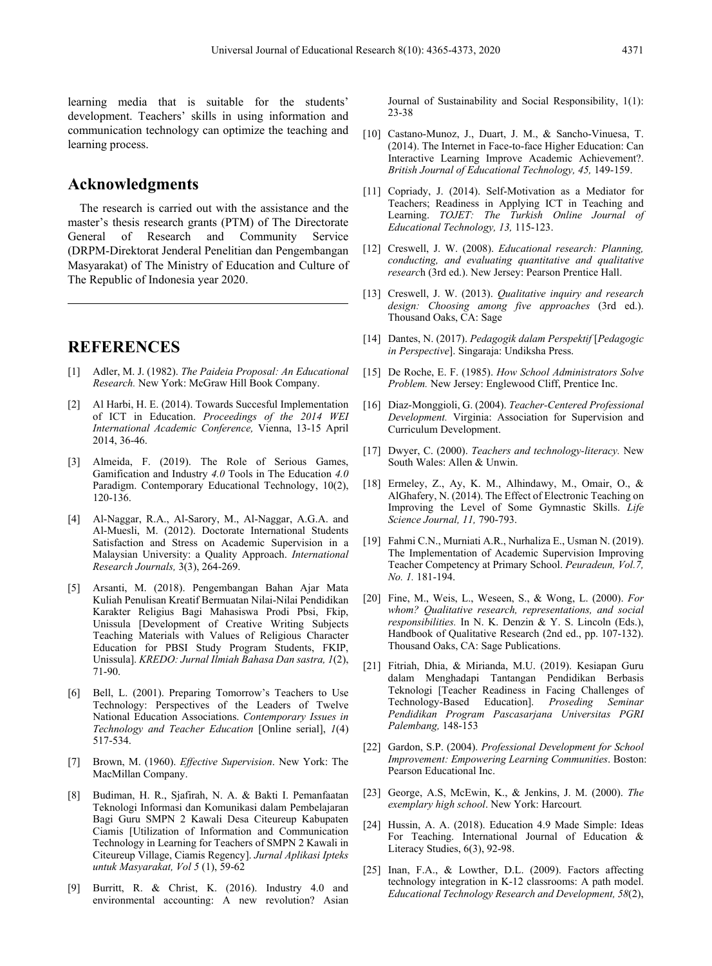learning media that is suitable for the students' development. Teachers' skills in using information and communication technology can optimize the teaching and learning process.

#### **Acknowledgments**

The research is carried out with the assistance and the master's thesis research grants (PTM) of The Directorate General of Research and Community Service (DRPM-Direktorat Jenderal Penelitian dan Pengembangan Masyarakat) of The Ministry of Education and Culture of The Republic of Indonesia year 2020.

## **REFERENCES**

- [1] Adler, M. J. (1982). *The Paideia Proposal: An Educational Research.* New York: McGraw Hill Book Company.
- [2] Al Harbi, H. E. (2014). Towards Succesful Implementation of ICT in Education. *Proceedings of the 2014 WEI International Academic Conference,* Vienna, 13-15 April 2014, 36-46.
- [3] Almeida, F. (2019). The Role of Serious Games, Gamification and Industry *4.0* Tools in The Education *4.0* Paradigm. Contemporary Educational Technology, 10(2), 120-136.
- [4] Al-Naggar, R.A., Al-Sarory, M., Al-Naggar, A.G.A. and Al-Muesli, M. (2012). Doctorate International Students Satisfaction and Stress on Academic Supervision in a Malaysian University: a Quality Approach. *International Research Journals,* 3(3), 264-269.
- [5] Arsanti, M. (2018). Pengembangan Bahan Ajar Mata Kuliah Penulisan Kreatif Bermuatan Nilai-Nilai Pendidikan Karakter Religius Bagi Mahasiswa Prodi Pbsi, Fkip, Unissula [Development of Creative Writing Subjects Teaching Materials with Values of Religious Character Education for PBSI Study Program Students, FKIP, Unissula]. *KREDO: Jurnal Ilmiah Bahasa Dan sastra, 1*(2), 71-90.
- [6] Bell, L. (2001). Preparing Tomorrow's Teachers to Use Technology: Perspectives of the Leaders of Twelve National Education Associations. *Contemporary Issues in Technology and Teacher Education* [Online serial], *1*(4) 517-534.
- [7] Brown, M. (1960). *Effective Supervision*. New York: The MacMillan Company.
- [8] Budiman, H. R., Sjafirah, N. A. & Bakti I. Pemanfaatan Teknologi Informasi dan Komunikasi dalam Pembelajaran Bagi Guru SMPN 2 Kawali Desa Citeureup Kabupaten Ciamis [Utilization of Information and Communication Technology in Learning for Teachers of SMPN 2 Kawali in Citeureup Village, Ciamis Regency]. *Jurnal Aplikasi Ipteks untuk Masyarakat, Vol 5* (1), 59-62
- [9] Burritt, R. & Christ, K. (2016). Industry 4.0 and environmental accounting: A new revolution? Asian

Journal of Sustainability and Social Responsibility, 1(1): 23-38

- [10] Castano-Munoz, J., Duart, J. M., & Sancho-Vinuesa, T. (2014). The Internet in Face-to-face Higher Education: Can Interactive Learning Improve Academic Achievement?. *British Journal of Educational Technology, 45,* 149-159.
- [11] Copriady, J. (2014). Self-Motivation as a Mediator for Teachers; Readiness in Applying ICT in Teaching and Learning. *TOJET: The Turkish Online Journal of Educational Technology, 13,* 115-123.
- [12] Creswell, J. W. (2008). *Educational research: Planning, conducting, and evaluating quantitative and qualitative researc*h (3rd ed.). New Jersey: Pearson Prentice Hall.
- [13] Creswell, J. W. (2013). *Qualitative inquiry and research design: Choosing among five approaches* (3rd ed.). Thousand Oaks, CA: Sage
- [14] Dantes, N. (2017). *Pedagogik dalam Perspektif* [*Pedagogic in Perspective*]. Singaraja: Undiksha Press.
- [15] De Roche, E. F. (1985). *How School Administrators Solve Problem.* New Jersey: Englewood Cliff, Prentice Inc.
- [16] Diaz-Monggioli, G. (2004). *Teacher-Centered Professional Development.* Virginia: Association for Supervision and Curriculum Development.
- [17] Dwyer, C. (2000). *Teachers and technology-literacy.* New South Wales: Allen & Unwin.
- [18] Ermeley, Z., Ay, K. M., Alhindawy, M., Omair, O., & AlGhafery, N. (2014). The Effect of Electronic Teaching on Improving the Level of Some Gymnastic Skills. *Life Science Journal, 11,* 790-793.
- [19] Fahmi C.N., Murniati A.R., Nurhaliza E., Usman N. (2019). The Implementation of Academic Supervision Improving Teacher Competency at Primary School. *Peuradeun, Vol.7, No. 1.* 181-194.
- [20] Fine, M., Weis, L., Weseen, S., & Wong, L. (2000). *For whom? Qualitative research, representations, and social responsibilities.* In N. K. Denzin & Y. S. Lincoln (Eds.), Handbook of Qualitative Research (2nd ed., pp. 107-132). Thousand Oaks, CA: Sage Publications.
- [21] Fitriah, Dhia, & Mirianda, M.U. (2019). Kesiapan Guru dalam Menghadapi Tantangan Pendidikan Berbasis Teknologi [Teacher Readiness in Facing Challenges of Technology-Based Education]. *Proseding Seminar Pendidikan Program Pascasarjana Universitas PGRI Palembang,* 148-153
- [22] Gardon, S.P. (2004). *Professional Development for School Improvement: Empowering Learning Communities*. Boston: Pearson Educational Inc.
- [23] George, A.S, McEwin, K., & Jenkins, J. M. (2000). *The exemplary high school*. New York: Harcourt*.*
- [24] Hussin, A. A. (2018). Education 4.9 Made Simple: Ideas For Teaching. International Journal of Education & Literacy Studies, 6(3), 92-98.
- [25] Inan, F.A., & Lowther, D.L. (2009). Factors affecting technology integration in K-12 classrooms: A path model. *Educational Technology Research and Development, 58*(2),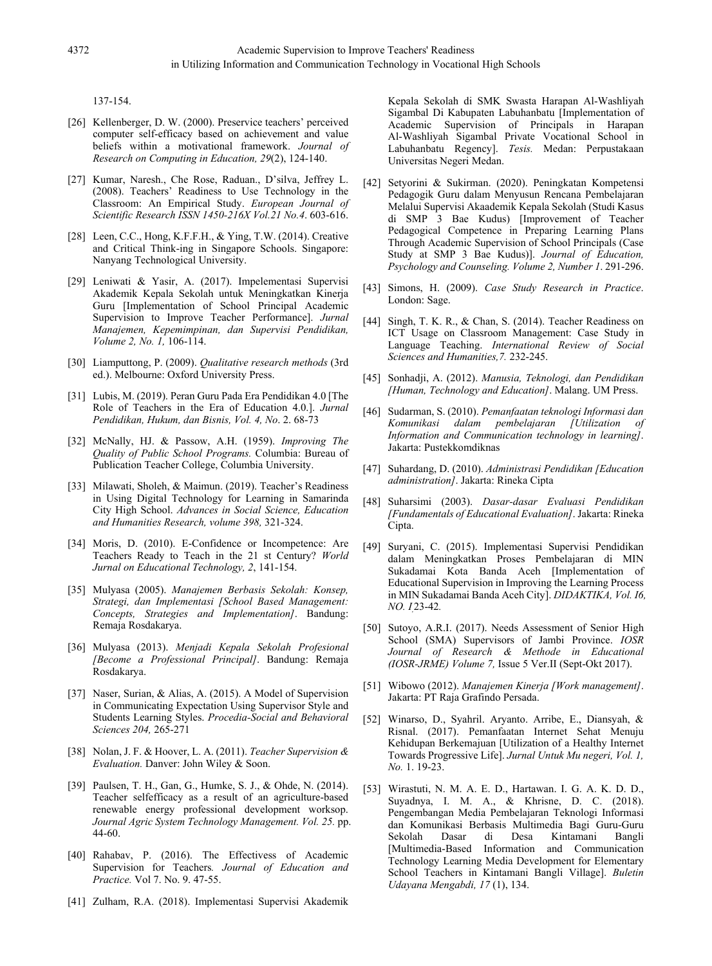137-154.

- [26] Kellenberger, D. W. (2000). Preservice teachers' perceived computer self-efficacy based on achievement and value beliefs within a motivational framework. *Journal of Research on Computing in Education, 29*(2), 124-140.
- [27] Kumar, Naresh., Che Rose, Raduan., D'silva, Jeffrey L. (2008). Teachers' Readiness to Use Technology in the Classroom: An Empirical Study. *European Journal of Scientific Research ISSN 1450-216X Vol.21 No.4*. 603-616.
- [28] Leen, C.C., Hong, K.F.F.H., & Ying, T.W. (2014). Creative and Critical Think-ing in Singapore Schools. Singapore: Nanyang Technological University.
- [29] Leniwati & Yasir, A. (2017). Impelementasi Supervisi Akademik Kepala Sekolah untuk Meningkatkan Kinerja Guru [Implementation of School Principal Academic Supervision to Improve Teacher Performance]. *Jurnal Manajemen, Kepemimpinan, dan Supervisi Pendidikan, Volume 2, No. 1,* 106-114.
- [30] Liamputtong, P. (2009). *Qualitative research methods* (3rd ed.). Melbourne: Oxford University Press.
- [31] Lubis, M. (2019). Peran Guru Pada Era Pendidikan 4.0 [The Role of Teachers in the Era of Education 4.0.]. *Jurnal Pendidikan, Hukum, dan Bisnis, Vol. 4, No*. 2. 68-73
- [32] McNally, HJ. & Passow, A.H. (1959). *Improving The Quality of Public School Programs.* Columbia: Bureau of Publication Teacher College, Columbia University.
- [33] Milawati, Sholeh, & Maimun. (2019). Teacher's Readiness in Using Digital Technology for Learning in Samarinda City High School. *Advances in Social Science, Education and Humanities Research, volume 398,* 321-324.
- [34] Moris, D. (2010). E-Confidence or Incompetence: Are Teachers Ready to Teach in the 21 st Century? *World Jurnal on Educational Technology, 2*, 141-154.
- [35] Mulyasa (2005). *Manajemen Berbasis Sekolah: Konsep, Strategi, dan Implementasi [School Based Management: Concepts, Strategies and Implementation]*. Bandung: Remaja Rosdakarya.
- [36] Mulyasa (2013). *Menjadi Kepala Sekolah Profesional [Become a Professional Principal]*. Bandung: Remaja Rosdakarya.
- [37] Naser, Surian, & Alias, A. (2015). A Model of Supervision in Communicating Expectation Using Supervisor Style and Students Learning Styles. *Procedia-Social and Behavioral Sciences 204,* 265-271
- [38] Nolan, J. F. & Hoover, L. A. (2011). *Teacher Supervision & Evaluation.* Danver: John Wiley & Soon.
- [39] Paulsen, T. H., Gan, G., Humke, S. J., & Ohde, N. (2014). Teacher selfefficacy as a result of an agriculture-based renewable energy professional development worksop. *Journal Agric System Technology Management. Vol. 25.* pp. 44-60.
- [40] Rahabav, P. (2016). The Effectivess of Academic Supervision for Teachers*. Journal of Education and Practice.* Vol 7. No. 9. 47-55.
- [41] Zulham, R.A. (2018). Implementasi Supervisi Akademik

Kepala Sekolah di SMK Swasta Harapan Al-Washliyah Sigambal Di Kabupaten Labuhanbatu [Implementation of Academic Supervision of Principals in Harapan Al-Washliyah Sigambal Private Vocational School in Labuhanbatu Regency]. *Tesis.* Medan: Perpustakaan Universitas Negeri Medan.

- [42] Setyorini & Sukirman. (2020). Peningkatan Kompetensi Pedagogik Guru dalam Menyusun Rencana Pembelajaran Melalui Supervisi Akaademik Kepala Sekolah (Studi Kasus di SMP 3 Bae Kudus) [Improvement of Teacher Pedagogical Competence in Preparing Learning Plans Through Academic Supervision of School Principals (Case Study at SMP 3 Bae Kudus)]. *Journal of Education, Psychology and Counseling. Volume 2, Number 1*. 291-296.
- [43] Simons, H. (2009). *Case Study Research in Practice*. London: Sage.
- [44] Singh, T. K. R., & Chan, S. (2014). Teacher Readiness on ICT Usage on Classroom Management: Case Study in Language Teaching. *International Review of Social Sciences and Humanities,7.* 232-245.
- [45] Sonhadji, A. (2012). *Manusia, Teknologi, dan Pendidikan [Human, Technology and Education]*. Malang. UM Press.
- [46] Sudarman, S. (2010). *Pemanfaatan teknologi Informasi dan*  Komunikasi dalam pembelajaran *[Utilization Information and Communication technology in learning]*. Jakarta: Pustekkomdiknas
- [47] Suhardang, D. (2010). *Administrasi Pendidikan [Education administration]*. Jakarta: Rineka Cipta
- [48] Suharsimi (2003). *Dasar-dasar Evaluasi Pendidikan [Fundamentals of Educational Evaluation]*. Jakarta: Rineka Cipta.
- [49] Suryani, C. (2015). Implementasi Supervisi Pendidikan dalam Meningkatkan Proses Pembelajaran di MIN Sukadamai Kota Banda Aceh [Implementation of Educational Supervision in Improving the Learning Process in MIN Sukadamai Banda Aceh City]. *DIDAKTIKA, Vol. I6, NO. I,*23-42*.*
- [50] Sutoyo, A.R.I. (2017). Needs Assessment of Senior High School (SMA) Supervisors of Jambi Province. *IOSR Journal of Research & Methode in Educational (IOSR-JRME) Volume 7,* Issue 5 Ver.II (Sept-Okt 2017).
- [51] Wibowo (2012). *Manajemen Kinerja [Work management]*. Jakarta: PT Raja Grafindo Persada.
- [52] Winarso, D., Syahril. Aryanto. Arribe, E., Diansyah, & Risnal. (2017). Pemanfaatan Internet Sehat Menuju Kehidupan Berkemajuan [Utilization of a Healthy Internet Towards Progressive Life]. *Jurnal Untuk Mu negeri, Vol. 1, No.* 1. 19-23.
- [53] Wirastuti, N. M. A. E. D., Hartawan. I. G. A. K. D. D., Suyadnya, I. M. A., & Khrisne, D. C. (2018). Pengembangan Media Pembelajaran Teknologi Informasi dan Komunikasi Berbasis Multimedia Bagi Guru-Guru Sekolah Dasar di Desa Kintamani Bangli [Multimedia-Based Information and Communication Technology Learning Media Development for Elementary School Teachers in Kintamani Bangli Village]. *Buletin Udayana Mengabdi, 17* (1), 134.